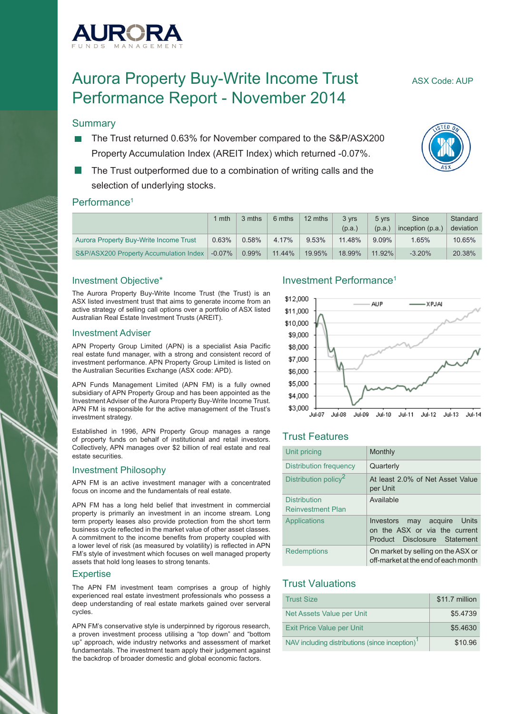

# Aurora Property Buy-Write Income Trust ASX Code: AUP Performance Report - November 2014

#### **Summary**

- The Trust returned 0.63% for November compared to the S&P/ASX200 Property Accumulation Index (AREIT Index) which returned -0.07%.
- The Trust outperformed due to a combination of writing calls and the selection of underlying stocks.

#### Performance<sup>1</sup>

|                                        | mth       | 3 mths   | 6 mths | 12 mths  | 3 vrs  | 5 yrs    | Since            | Standard  |
|----------------------------------------|-----------|----------|--------|----------|--------|----------|------------------|-----------|
|                                        |           |          |        |          | (p.a.) | (p.a.)   | inception (p.a.) | deviation |
| Aurora Property Buy-Write Income Trust | 0.63%     | 0.58%    | 4.17%  | $9.53\%$ | 11.48% | $9.09\%$ | 1.65%            | $10.65\%$ |
| S&P/ASX200 Property Accumulation Index | $-0.07\%$ | $0.99\%$ | 11.44% | 19.95%   | 18.99% | 11.92%   | $-3.20%$         | 20.38%    |

#### Investment Objective\*

The Aurora Property Buy-Write Income Trust (the Trust) is an ASX listed investment trust that aims to generate income from an active strategy of selling call options over a portfolio of ASX listed Australian Real Estate Investment Trusts (AREIT).

#### Investment Adviser

APN Property Group Limited (APN) is a specialist Asia Pacific real estate fund manager, with a strong and consistent record of investment performance. APN Property Group Limited is listed on the Australian Securities Exchange (ASX code: APD).

APN Funds Management Limited (APN FM) is a fully owned subsidiary of APN Property Group and has been appointed as the Investment Adviser of the Aurora Property Buy-Write Income Trust. APN FM is responsible for the active management of the Trust's investment strategy.

Established in 1996, APN Property Group manages a range of property funds on behalf of institutional and retail investors. Collectively, APN manages over \$2 billion of real estate and real estate securities.

#### Investment Philosophy

APN FM is an active investment manager with a concentrated focus on income and the fundamentals of real estate.

APN FM has a long held belief that investment in commercial property is primarily an investment in an income stream. Long term property leases also provide protection from the short term business cycle reflected in the market value of other asset classes. A commitment to the income benefits from property coupled with a lower level of risk (as measured by volatility) is reflected in APN FM's style of investment which focuses on well managed property assets that hold long leases to strong tenants.

#### **Expertise**

The APN FM investment team comprises a group of highly experienced real estate investment professionals who possess a deep understanding of real estate markets gained over serveral cycles.

APN FM's conservative style is underpinned by rigorous research, a proven investment process utilising a "top down" and "bottom up" approach, wide industry networks and assessment of market fundamentals. The investment team apply their judgement against the backdrop of broader domestic and global economic factors.

#### Investment Performance1



#### Trust Features

| Unit pricing                                    | Monthly                                                                                         |
|-------------------------------------------------|-------------------------------------------------------------------------------------------------|
| Distribution frequency                          | Quarterly                                                                                       |
| Distribution policy <sup>2</sup>                | At least 2.0% of Net Asset Value<br>per Unit                                                    |
| <b>Distribution</b><br><b>Reinvestment Plan</b> | Available                                                                                       |
| Applications                                    | may acquire Units<br>Investors<br>on the ASX or via the current<br>Product Disclosure Statement |
| <b>Redemptions</b>                              | On market by selling on the ASX or<br>off-market at the end of each month                       |

#### Trust Valuations

| <b>Trust Size</b>                                          | \$11.7 million |
|------------------------------------------------------------|----------------|
| Net Assets Value per Unit                                  | \$5.4739       |
| <b>Exit Price Value per Unit</b>                           | \$5.4630       |
| NAV including distributions (since inception) <sup>1</sup> | \$10.96        |